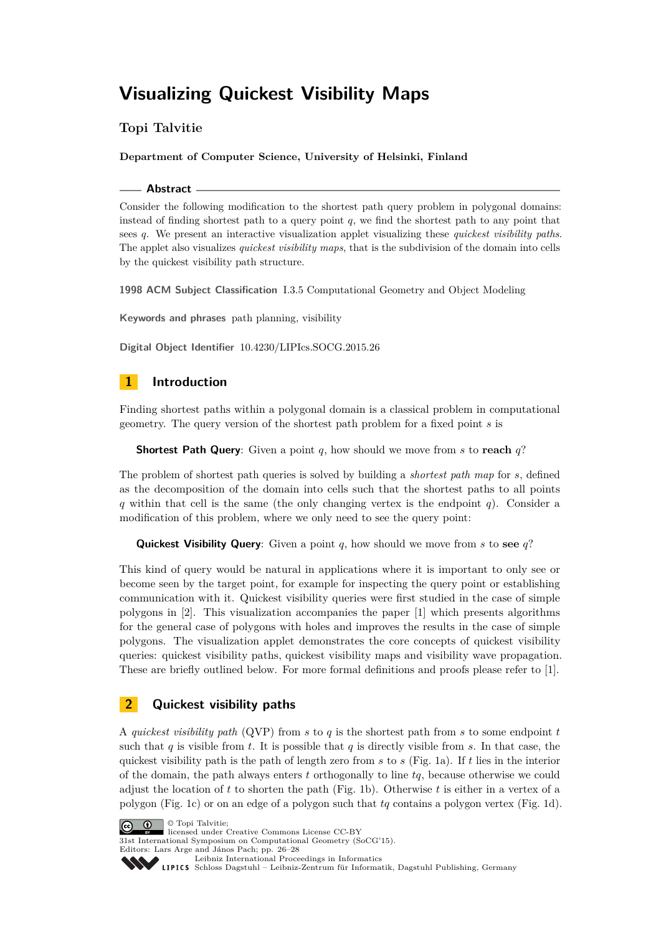# **Visualizing Quickest Visibility Maps**

# **Topi Talvitie**

#### **Department of Computer Science, University of Helsinki, Finland**

#### **Abstract**

Consider the following modification to the shortest path query problem in polygonal domains: instead of finding shortest path to a query point *q*, we find the shortest path to any point that sees *q*. We present an interactive visualization applet visualizing these *quickest visibility paths*. The applet also visualizes *quickest visibility maps*, that is the subdivision of the domain into cells by the quickest visibility path structure.

**1998 ACM Subject Classification** I.3.5 Computational Geometry and Object Modeling

**Keywords and phrases** path planning, visibility

**Digital Object Identifier** [10.4230/LIPIcs.SOCG.2015.26](http://dx.doi.org/10.4230/LIPIcs.SOCG.2015.26)

# **1 Introduction**

Finding shortest paths within a polygonal domain is a classical problem in computational geometry. The query version of the shortest path problem for a fixed point *s* is

**Shortest Path Query**: Given a point *q*, how should we move from *s* to **reach** *q*?

The problem of shortest path queries is solved by building a *shortest path map* for *s*, defined as the decomposition of the domain into cells such that the shortest paths to all points *q* within that cell is the same (the only changing vertex is the endpoint *q*). Consider a modification of this problem, where we only need to see the query point:

**Quickest Visibility Query**: Given a point *q*, how should we move from *s* to **see** *q*?

This kind of query would be natural in applications where it is important to only see or become seen by the target point, for example for inspecting the query point or establishing communication with it. Quickest visibility queries were first studied in the case of simple polygons in [\[2\]](#page-2-0). This visualization accompanies the paper [\[1\]](#page-2-1) which presents algorithms for the general case of polygons with holes and improves the results in the case of simple polygons. The visualization applet demonstrates the core concepts of quickest visibility queries: quickest visibility paths, quickest visibility maps and visibility wave propagation. These are briefly outlined below. For more formal definitions and proofs please refer to [\[1\]](#page-2-1).

# **2 Quickest visibility paths**

A *quickest visibility path* (QVP) from *s* to *q* is the shortest path from *s* to some endpoint *t* such that *q* is visible from *t*. It is possible that *q* is directly visible from *s*. In that case, the quickest visibility path is the path of length zero from *s* to *s* (Fig. [1a\)](#page-1-0). If *t* lies in the interior of the domain, the path always enters *t* orthogonally to line *tq*, because otherwise we could adjust the location of *t* to shorten the path (Fig. [1b\)](#page-1-1). Otherwise *t* is either in a vertex of a polygon (Fig. [1c\)](#page-1-2) or on an edge of a polygon such that *tq* contains a polygon vertex (Fig. [1d\)](#page-1-3).

 $\boxed{\mathbf{G}}$   $\boxed{\mathbf{0}}$   $\boxed{\circ}$  Topi Talvitie:

licensed under Creative Commons License CC-BY

31st International Symposium on Computational Geometry (SoCG'15).

Editors: Lars Arge and János Pach; pp. 26[–28](#page-2-2)

[Leibniz International Proceedings in Informatics](http://www.dagstuhl.de/lipics/)

Leibniz international Froceedings in informatik, Dagstuhl Publishing, Germany<br>LIPICS [Schloss Dagstuhl – Leibniz-Zentrum für Informatik, Dagstuhl Publishing, Germany](http://www.dagstuhl.de)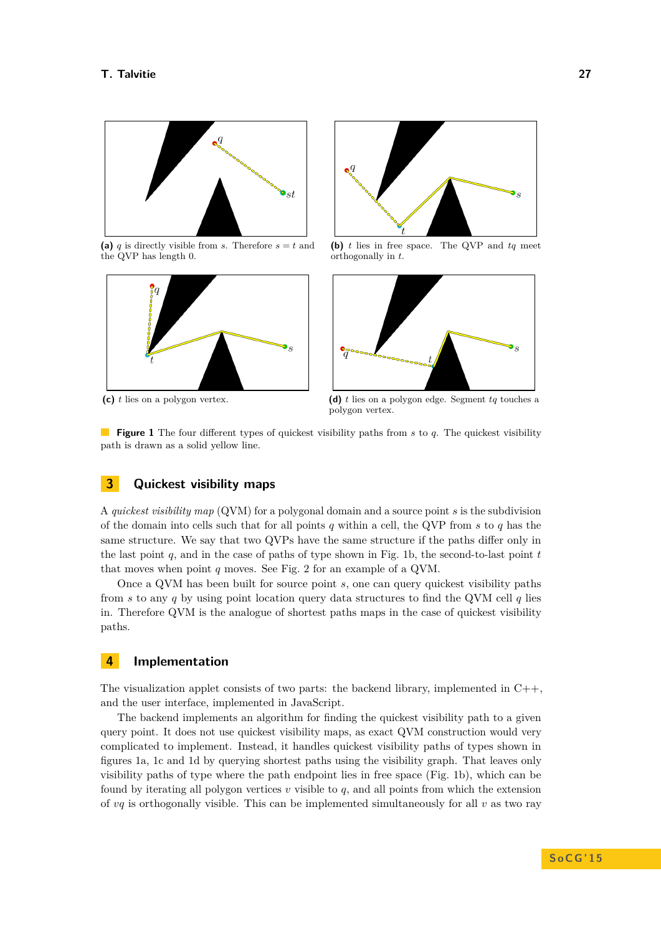### **T. Talvitie 27**

<span id="page-1-0"></span>

(a)  $q$  is directly visible from  $s$ . Therefore  $s = t$  and the QVP has length 0.

<span id="page-1-2"></span>



<span id="page-1-1"></span>**(b)** *t* lies in free space. The QVP and *tq* meet orthogonally in *t*.

<span id="page-1-3"></span>

**(c)** *t* lies on a polygon vertex. **(d)** *t* lies on a polygon edge. Segment *tq* touches a polygon vertex.

**Figure 1** The four different types of quickest visibility paths from *s* to *q*. The quickest visibility path is drawn as a solid yellow line.

### **3 Quickest visibility maps**

A *quickest visibility map* (QVM) for a polygonal domain and a source point *s* is the subdivision of the domain into cells such that for all points *q* within a cell, the QVP from *s* to *q* has the same structure. We say that two QVPs have the same structure if the paths differ only in the last point  $q$ , and in the case of paths of type shown in Fig. [1b,](#page-1-1) the second-to-last point  $t$ that moves when point *q* moves. See Fig. [2](#page-2-3) for an example of a QVM.

Once a QVM has been built for source point *s*, one can query quickest visibility paths from *s* to any *q* by using point location query data structures to find the QVM cell *q* lies in. Therefore QVM is the analogue of shortest paths maps in the case of quickest visibility paths.

## **4 Implementation**

The visualization applet consists of two parts: the backend library, implemented in  $C++$ . and the user interface, implemented in JavaScript.

The backend implements an algorithm for finding the quickest visibility path to a given query point. It does not use quickest visibility maps, as exact QVM construction would very complicated to implement. Instead, it handles quickest visibility paths of types shown in figures [1a,](#page-1-0) [1c](#page-1-2) and [1d](#page-1-3) by querying shortest paths using the visibility graph. That leaves only visibility paths of type where the path endpoint lies in free space (Fig. [1b\)](#page-1-1), which can be found by iterating all polygon vertices *v* visible to *q*, and all points from which the extension of *vq* is orthogonally visible. This can be implemented simultaneously for all *v* as two ray